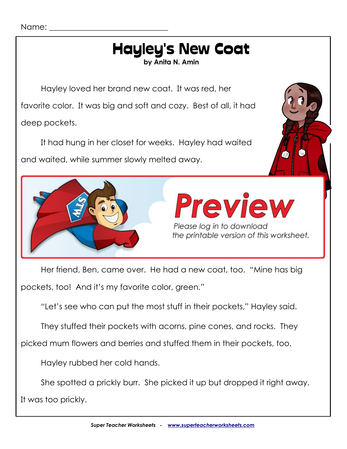#### Name:

# Hayley's New Coat

**by Anita N. Amin**

Hayley loved her brand new coat. It was red, her

favorite color. It was big and soft and cozy. Best of all, it had deep pockets.

It had hung in her closet for weeks. Hayley had waited and waited, while summer slowly melted away.



Her friend, Ben, came over. He had a new coat, too. "Mine has big pockets, too! And it's my favorite color, green."

"Let's see who can put the most stuff in their pockets," Hayley said.

They stuffed their pockets with acorns, pine cones, and rocks. They

picked mum flowers and berries and stuffed them in their pockets, too.

Hayley rubbed her cold hands.

She spotted a prickly burr. She picked it up but dropped it right away. It was too prickly.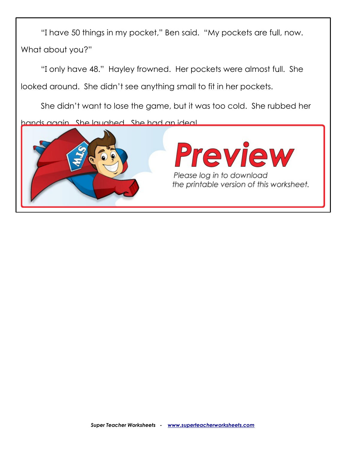"I have 50 things in my pocket," Ben said. "My pockets are full, now. What about you?"

"I only have 48." Hayley frowned. Her pockets were almost full. She looked around. She didn't see anything small to fit in her pockets.

She didn't want to lose the game, but it was too cold. She rubbed her

hands again. She laughed. She had an idea!

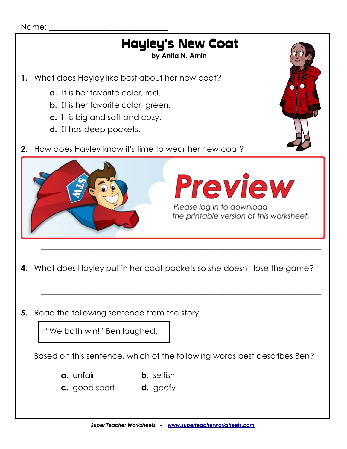#### Name:

# Hayley's New Coat

**by Anita N. Amin**

- **1.** What does Hayley like best about her new coat?
	- **a.** It is her favorite color, red.
	- **b.** It is her favorite color, green.
	- **c.** It is big and soft and cozy.
	- **d.** It has deep pockets.
- **2.** How does Hayley know it's time to wear her new coat?



**4.** What does Hayley put in her coat pockets so she doesn't lose the game?

 $\_$  , and the set of the set of the set of the set of the set of the set of the set of the set of the set of the set of the set of the set of the set of the set of the set of the set of the set of the set of the set of th

 $\_$  , and the set of the set of the set of the set of the set of the set of the set of the set of the set of the set of the set of the set of the set of the set of the set of the set of the set of the set of the set of th

**5.** Read the following sentence from the story.

"We both win!" Ben laughed.

Based on this sentence, which of the following words best describes Ben?

- **a.** unfair **b.** selfish
- **c.** good sport **d.** goofy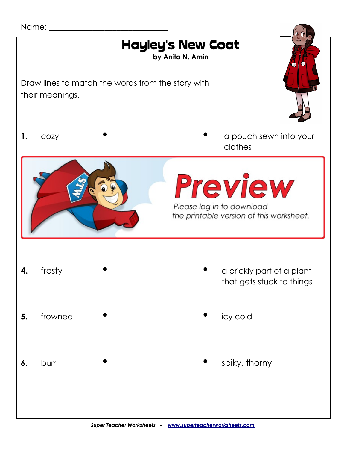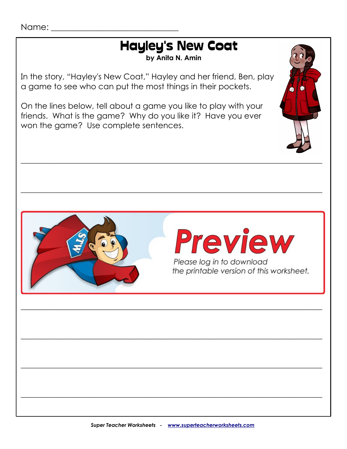## **Hayley's New Coat**

by Anita N. Amin

In the story, "Hayley's New Coat," Hayley and her friend, Ben, play a game to see who can put the most things in their pockets.

On the lines below, tell about a game you like to play with your friends. What is the game? Why do you like it? Have you ever won the game? Use complete sentences.





Please log in to download the printable version of this worksheet.

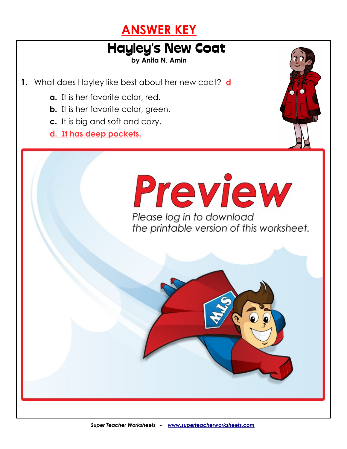

## Hayley's New Coat

**by Anita N. Amin**

**1.** What does Hayley like best about her new coat? **d**

**2.** How does Hayley know it's time to wear her new coat? **c**

- **a.** It is her favorite color, red.
- **b.** It is her favorite color, green.
- **c.** It is big and soft and cozy.
- **d. It has deep pockets.**